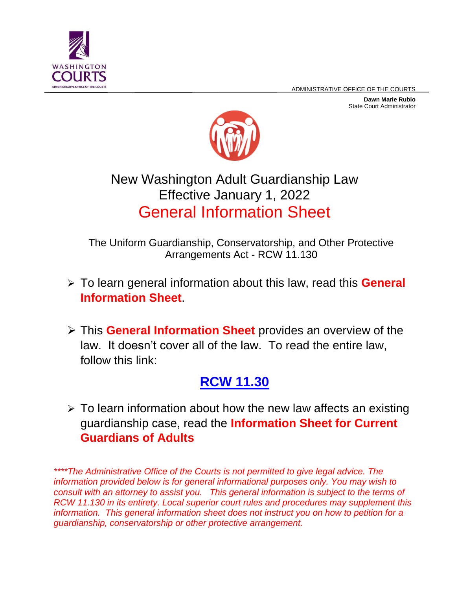ADMINISTRATIVE OFFICE OF THE COURTS



**Dawn Marie Rubio** State Court Administrator



# New Washington Adult Guardianship Law Effective January 1, 2022 General Information Sheet

The Uniform Guardianship, Conservatorship, and Other Protective Arrangements Act - RCW 11.130

- To learn general information about this law, read this **General Information Sheet**.
- This **General Information Sheet** provides an overview of the law. It doesn't cover all of the law. To read the entire law, follow this link:

# **[RCW 11.30](https://app.leg.wa.gov/RCW/default.aspx?cite=11.130&full=true)**

 $\triangleright$  To learn information about how the new law affects an existing guardianship case, read the **Information Sheet for Current Guardians of Adults**

*\*\*\*\*The Administrative Office of the Courts is not permitted to give legal advice. The information provided below is for general informational purposes only. You may wish to consult with an attorney to assist you. This general information is subject to the terms of RCW 11.130 in its entirety. Local superior court rules and procedures may supplement this information. This general information sheet does not instruct you on how to petition for a guardianship, conservatorship or other protective arrangement.*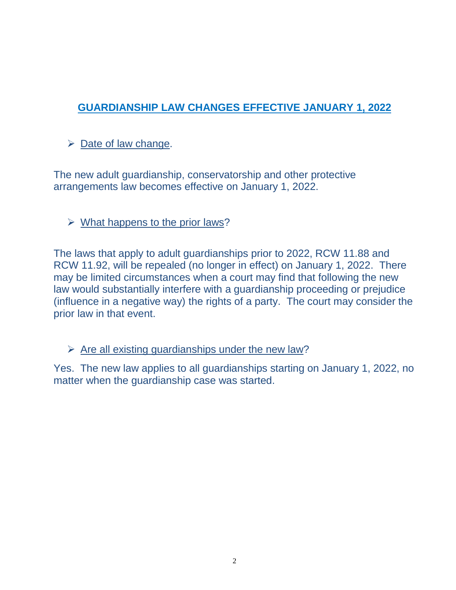# **GUARDIANSHIP LAW CHANGES EFFECTIVE JANUARY 1, 2022**

# $\triangleright$  Date of law change.

The new adult guardianship, conservatorship and other protective arrangements law becomes effective on January 1, 2022.

## $\triangleright$  What happens to the prior laws?

The laws that apply to adult guardianships prior to 2022, RCW 11.88 and RCW 11.92, will be repealed (no longer in effect) on January 1, 2022. There may be limited circumstances when a court may find that following the new law would substantially interfere with a guardianship proceeding or prejudice (influence in a negative way) the rights of a party. The court may consider the prior law in that event.

 $\triangleright$  Are all existing guardianships under the new law?

Yes. The new law applies to all guardianships starting on January 1, 2022, no matter when the guardianship case was started.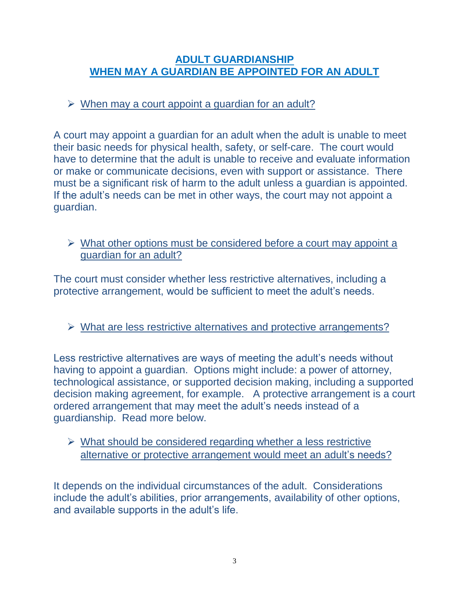#### **ADULT GUARDIANSHIP WHEN MAY A GUARDIAN BE APPOINTED FOR AN ADULT**

#### $\triangleright$  When may a court appoint a quardian for an adult?

A court may appoint a guardian for an adult when the adult is unable to meet their basic needs for physical health, safety, or self-care. The court would have to determine that the adult is unable to receive and evaluate information or make or communicate decisions, even with support or assistance. There must be a significant risk of harm to the adult unless a guardian is appointed. If the adult's needs can be met in other ways, the court may not appoint a guardian.

 $\triangleright$  What other options must be considered before a court may appoint a guardian for an adult?

The court must consider whether less restrictive alternatives, including a protective arrangement, would be sufficient to meet the adult's needs.

 $\triangleright$  What are less restrictive alternatives and protective arrangements?

Less restrictive alternatives are ways of meeting the adult's needs without having to appoint a guardian. Options might include: a power of attorney, technological assistance, or supported decision making, including a supported decision making agreement, for example. A protective arrangement is a court ordered arrangement that may meet the adult's needs instead of a guardianship. Read more below.

 $\triangleright$  What should be considered regarding whether a less restrictive alternative or protective arrangement would meet an adult's needs?

It depends on the individual circumstances of the adult. Considerations include the adult's abilities, prior arrangements, availability of other options, and available supports in the adult's life.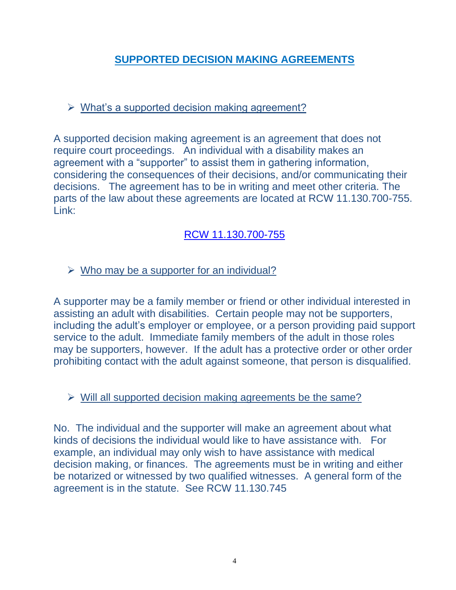# **SUPPORTED DECISION MAKING AGREEMENTS**

# $\triangleright$  What's a supported decision making agreement?

A supported decision making agreement is an agreement that does not require court proceedings. An individual with a disability makes an agreement with a "supporter" to assist them in gathering information, considering the consequences of their decisions, and/or communicating their decisions. The agreement has to be in writing and meet other criteria. The parts of the law about these agreements are located at RCW 11.130.700-755. Link:

# [RCW 11.130.700-755](https://app.leg.wa.gov/RCW/default.aspx?cite=11.130&full=true#11.130.700)

# $\triangleright$  Who may be a supporter for an individual?

A supporter may be a family member or friend or other individual interested in assisting an adult with disabilities. Certain people may not be supporters, including the adult's employer or employee, or a person providing paid support service to the adult. Immediate family members of the adult in those roles may be supporters, however. If the adult has a protective order or other order prohibiting contact with the adult against someone, that person is disqualified.

#### $\triangleright$  Will all supported decision making agreements be the same?

No. The individual and the supporter will make an agreement about what kinds of decisions the individual would like to have assistance with. For example, an individual may only wish to have assistance with medical decision making, or finances. The agreements must be in writing and either be notarized or witnessed by two qualified witnesses. A general form of the agreement is in the statute. See RCW 11.130.745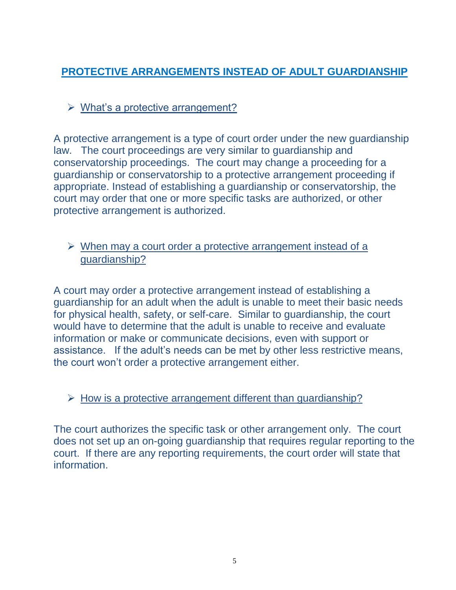# **PROTECTIVE ARRANGEMENTS INSTEAD OF ADULT GUARDIANSHIP**

# $\triangleright$  What's a protective arrangement?

A protective arrangement is a type of court order under the new guardianship law. The court proceedings are very similar to guardianship and conservatorship proceedings. The court may change a proceeding for a guardianship or conservatorship to a protective arrangement proceeding if appropriate. Instead of establishing a guardianship or conservatorship, the court may order that one or more specific tasks are authorized, or other protective arrangement is authorized.

#### $\triangleright$  When may a court order a protective arrangement instead of a guardianship?

A court may order a protective arrangement instead of establishing a guardianship for an adult when the adult is unable to meet their basic needs for physical health, safety, or self-care. Similar to guardianship, the court would have to determine that the adult is unable to receive and evaluate information or make or communicate decisions, even with support or assistance. If the adult's needs can be met by other less restrictive means, the court won't order a protective arrangement either.

## $\triangleright$  How is a protective arrangement different than quardianship?

The court authorizes the specific task or other arrangement only. The court does not set up an on-going guardianship that requires regular reporting to the court. If there are any reporting requirements, the court order will state that information.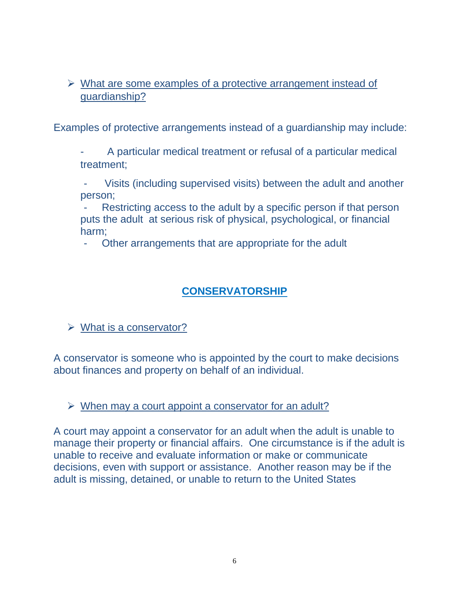$\triangleright$  What are some examples of a protective arrangement instead of guardianship?

Examples of protective arrangements instead of a guardianship may include:

- A particular medical treatment or refusal of a particular medical treatment;

Visits (including supervised visits) between the adult and another person;

Restricting access to the adult by a specific person if that person puts the adult at serious risk of physical, psychological, or financial harm;

Other arrangements that are appropriate for the adult

# **CONSERVATORSHIP**

 $\triangleright$  What is a conservator?

A conservator is someone who is appointed by the court to make decisions about finances and property on behalf of an individual.

 $\triangleright$  When may a court appoint a conservator for an adult?

A court may appoint a conservator for an adult when the adult is unable to manage their property or financial affairs. One circumstance is if the adult is unable to receive and evaluate information or make or communicate decisions, even with support or assistance. Another reason may be if the adult is missing, detained, or unable to return to the United States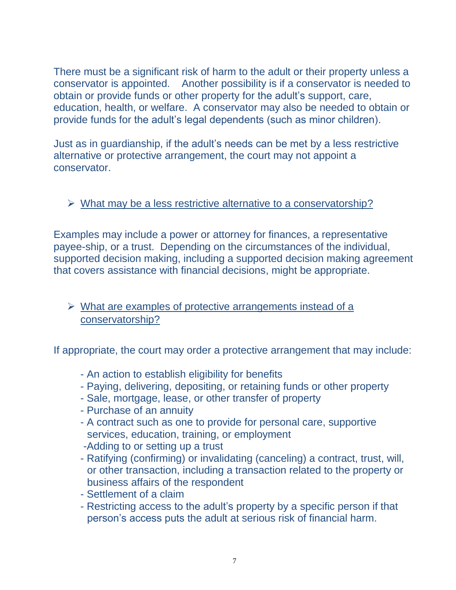There must be a significant risk of harm to the adult or their property unless a conservator is appointed. Another possibility is if a conservator is needed to obtain or provide funds or other property for the adult's support, care, education, health, or welfare. A conservator may also be needed to obtain or provide funds for the adult's legal dependents (such as minor children).

Just as in guardianship, if the adult's needs can be met by a less restrictive alternative or protective arrangement, the court may not appoint a conservator.

#### $\triangleright$  What may be a less restrictive alternative to a conservatorship?

Examples may include a power or attorney for finances, a representative payee-ship, or a trust. Depending on the circumstances of the individual, supported decision making, including a supported decision making agreement that covers assistance with financial decisions, might be appropriate.

#### $\triangleright$  What are examples of protective arrangements instead of a conservatorship?

If appropriate, the court may order a protective arrangement that may include:

- An action to establish eligibility for benefits
- Paying, delivering, depositing, or retaining funds or other property
- Sale, mortgage, lease, or other transfer of property
- Purchase of an annuity
- A contract such as one to provide for personal care, supportive services, education, training, or employment
- -Adding to or setting up a trust
- Ratifying (confirming) or invalidating (canceling) a contract, trust, will, or other transaction, including a transaction related to the property or business affairs of the respondent
- Settlement of a claim
- Restricting access to the adult's property by a specific person if that person's access puts the adult at serious risk of financial harm.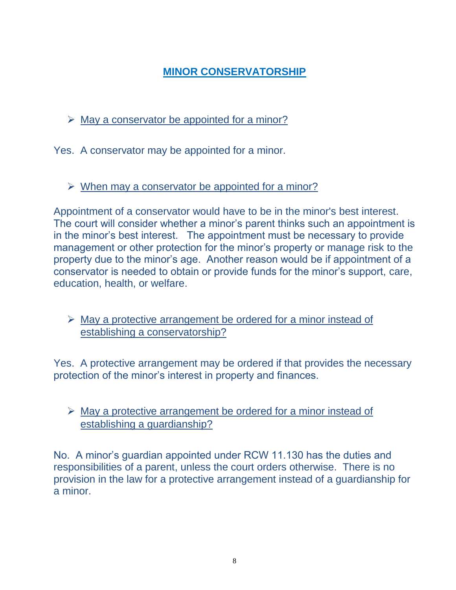# **MINOR CONSERVATORSHIP**

 $\triangleright$  May a conservator be appointed for a minor?

Yes. A conservator may be appointed for a minor.

 $\triangleright$  When may a conservator be appointed for a minor?

Appointment of a conservator would have to be in the minor's best interest. The court will consider whether a minor's parent thinks such an appointment is in the minor's best interest. The appointment must be necessary to provide management or other protection for the minor's property or manage risk to the property due to the minor's age. Another reason would be if appointment of a conservator is needed to obtain or provide funds for the minor's support, care, education, health, or welfare.

 $\triangleright$  May a protective arrangement be ordered for a minor instead of establishing a conservatorship?

Yes. A protective arrangement may be ordered if that provides the necessary protection of the minor's interest in property and finances.

# $\triangleright$  May a protective arrangement be ordered for a minor instead of establishing a guardianship?

No. A minor's guardian appointed under RCW 11.130 has the duties and responsibilities of a parent, unless the court orders otherwise. There is no provision in the law for a protective arrangement instead of a guardianship for a minor.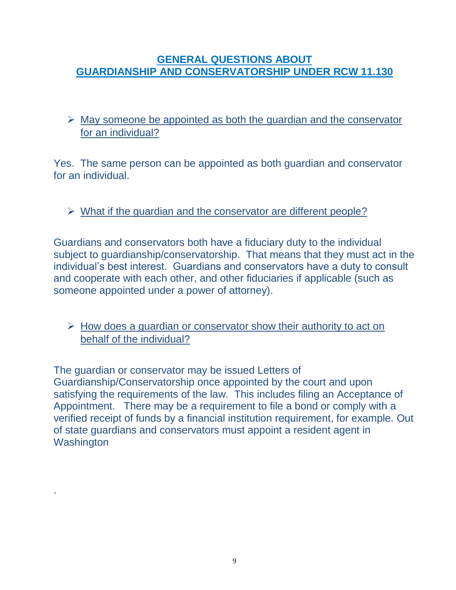#### **GENERAL QUESTIONS ABOUT GUARDIANSHIP AND CONSERVATORSHIP UNDER RCW 11.130**

 $\triangleright$  May someone be appointed as both the guardian and the conservator for an individual?

Yes. The same person can be appointed as both guardian and conservator for an individual.

## $\triangleright$  What if the quardian and the conservator are different people?

Guardians and conservators both have a fiduciary duty to the individual subject to guardianship/conservatorship. That means that they must act in the individual's best interest. Guardians and conservators have a duty to consult and cooperate with each other, and other fiduciaries if applicable (such as someone appointed under a power of attorney).

## $\triangleright$  How does a guardian or conservator show their authority to act on behalf of the individual?

The guardian or conservator may be issued Letters of Guardianship/Conservatorship once appointed by the court and upon satisfying the requirements of the law. This includes filing an Acceptance of Appointment. There may be a requirement to file a bond or comply with a verified receipt of funds by a financial institution requirement, for example. Out of state guardians and conservators must appoint a resident agent in **Washington** 

.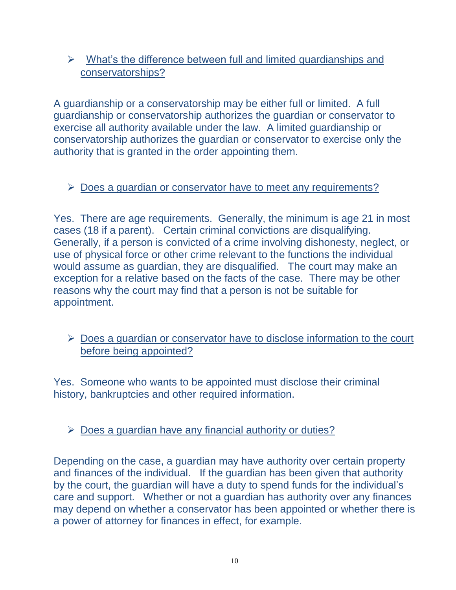# $\triangleright$  What's the difference between full and limited guardianships and conservatorships?

A guardianship or a conservatorship may be either full or limited. A full guardianship or conservatorship authorizes the guardian or conservator to exercise all authority available under the law. A limited guardianship or conservatorship authorizes the guardian or conservator to exercise only the authority that is granted in the order appointing them.

## $\triangleright$  Does a guardian or conservator have to meet any requirements?

Yes. There are age requirements. Generally, the minimum is age 21 in most cases (18 if a parent). Certain criminal convictions are disqualifying. Generally, if a person is convicted of a crime involving dishonesty, neglect, or use of physical force or other crime relevant to the functions the individual would assume as guardian, they are disqualified. The court may make an exception for a relative based on the facts of the case. There may be other reasons why the court may find that a person is not be suitable for appointment.

## $\triangleright$  Does a guardian or conservator have to disclose information to the court before being appointed?

Yes. Someone who wants to be appointed must disclose their criminal history, bankruptcies and other required information.

# $\triangleright$  Does a guardian have any financial authority or duties?

Depending on the case, a guardian may have authority over certain property and finances of the individual. If the guardian has been given that authority by the court, the guardian will have a duty to spend funds for the individual's care and support. Whether or not a guardian has authority over any finances may depend on whether a conservator has been appointed or whether there is a power of attorney for finances in effect, for example.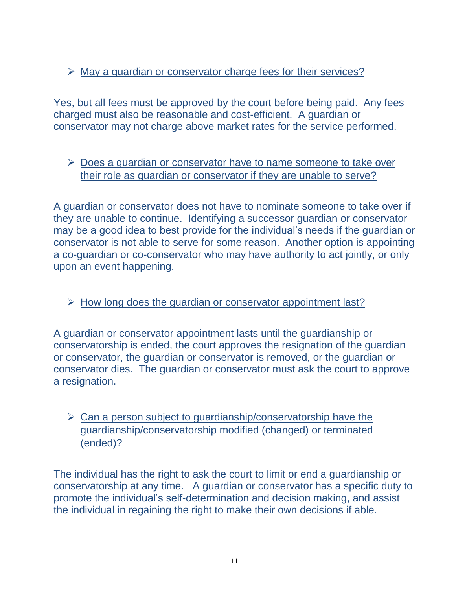## $\triangleright$  May a guardian or conservator charge fees for their services?

Yes, but all fees must be approved by the court before being paid. Any fees charged must also be reasonable and cost-efficient. A guardian or conservator may not charge above market rates for the service performed.

#### ▶ Does a guardian or conservator have to name someone to take over their role as guardian or conservator if they are unable to serve?

A guardian or conservator does not have to nominate someone to take over if they are unable to continue. Identifying a successor guardian or conservator may be a good idea to best provide for the individual's needs if the guardian or conservator is not able to serve for some reason. Another option is appointing a co-guardian or co-conservator who may have authority to act jointly, or only upon an event happening.

#### $\triangleright$  How long does the guardian or conservator appointment last?

A guardian or conservator appointment lasts until the guardianship or conservatorship is ended, the court approves the resignation of the guardian or conservator, the guardian or conservator is removed, or the guardian or conservator dies. The guardian or conservator must ask the court to approve a resignation.

#### $\triangleright$  Can a person subject to guardianship/conservatorship have the guardianship/conservatorship modified (changed) or terminated (ended)?

The individual has the right to ask the court to limit or end a guardianship or conservatorship at any time. A guardian or conservator has a specific duty to promote the individual's self-determination and decision making, and assist the individual in regaining the right to make their own decisions if able.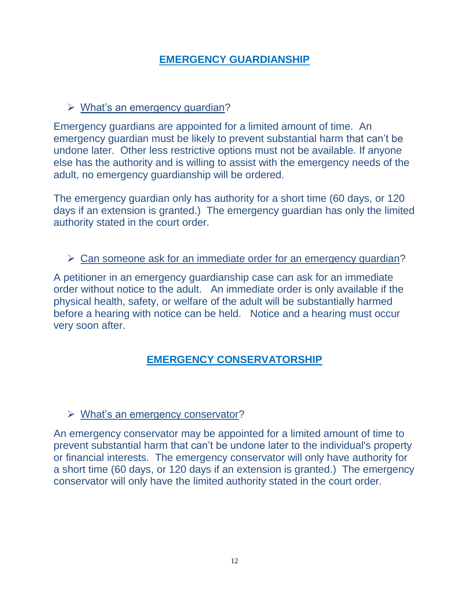## **EMERGENCY GUARDIANSHIP**

#### $\triangleright$  What's an emergency quardian?

Emergency guardians are appointed for a limited amount of time. An emergency guardian must be likely to prevent substantial harm that can't be undone later. Other less restrictive options must not be available. If anyone else has the authority and is willing to assist with the emergency needs of the adult, no emergency guardianship will be ordered.

The emergency guardian only has authority for a short time (60 days, or 120 days if an extension is granted.) The emergency guardian has only the limited authority stated in the court order.

#### ▶ Can someone ask for an immediate order for an emergency guardian?

A petitioner in an emergency guardianship case can ask for an immediate order without notice to the adult. An immediate order is only available if the physical health, safety, or welfare of the adult will be substantially harmed before a hearing with notice can be held. Notice and a hearing must occur very soon after.

## **EMERGENCY CONSERVATORSHIP**

#### What's an emergency conservator?

An emergency conservator may be appointed for a limited amount of time to prevent substantial harm that can't be undone later to the individual's property or financial interests. The emergency conservator will only have authority for a short time (60 days, or 120 days if an extension is granted.) The emergency conservator will only have the limited authority stated in the court order.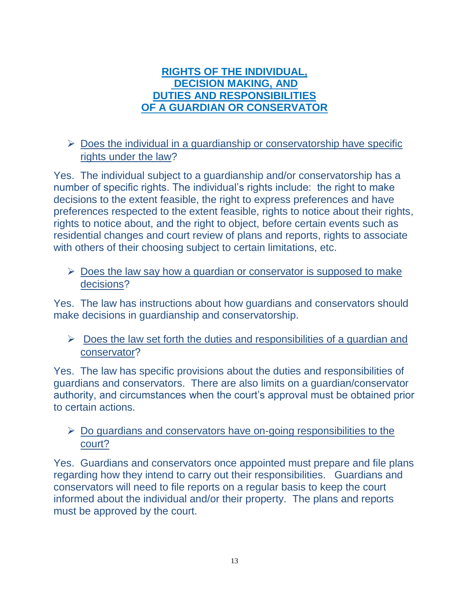#### **RIGHTS OF THE INDIVIDUAL, DECISION MAKING, AND DUTIES AND RESPONSIBILITIES OF A GUARDIAN OR CONSERVATOR**

# $\triangleright$  Does the individual in a quardianship or conservatorship have specific rights under the law?

Yes. The individual subject to a guardianship and/or conservatorship has a number of specific rights. The individual's rights include: the right to make decisions to the extent feasible, the right to express preferences and have preferences respected to the extent feasible, rights to notice about their rights, rights to notice about, and the right to object, before certain events such as residential changes and court review of plans and reports, rights to associate with others of their choosing subject to certain limitations, etc.

#### $\triangleright$  Does the law say how a guardian or conservator is supposed to make decisions?

Yes. The law has instructions about how guardians and conservators should make decisions in guardianship and conservatorship.

 $\triangleright$  Does the law set forth the duties and responsibilities of a guardian and conservator?

Yes. The law has specific provisions about the duties and responsibilities of guardians and conservators. There are also limits on a guardian/conservator authority, and circumstances when the court's approval must be obtained prior to certain actions.

## $\triangleright$  Do guardians and conservators have on-going responsibilities to the court?

Yes. Guardians and conservators once appointed must prepare and file plans regarding how they intend to carry out their responsibilities. Guardians and conservators will need to file reports on a regular basis to keep the court informed about the individual and/or their property. The plans and reports must be approved by the court.